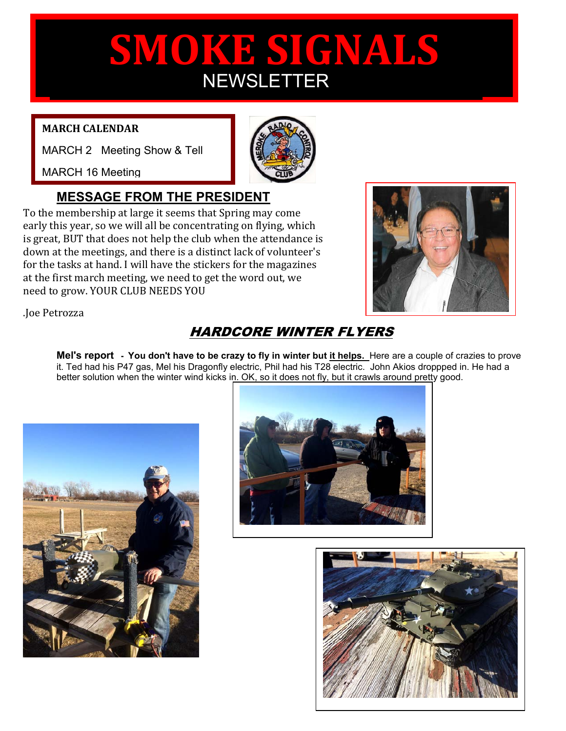# 1 **SMOKE SIGNALS NEWSLETTER**

#### **MARCH CALENDAR**

MARCH 2 Meeting Show & Tell

MARCH 16 Meeting

### **MESSAGE FROM THE PRESIDENT**

To the membership at large it seems that Spring may come early this year, so we will all be concentrating on flying, which is great, BUT that does not help the club when the attendance is down at the meetings, and there is a distinct lack of volunteer's for the tasks at hand. I will have the stickers for the magazines at the first march meeting, we need to get the word out, we need to grow. YOUR CLUB NEEDS YOU



.Joe Petrozza

## HARDCORE WINTER FLYERS

Mel's report - You don't have to be crazy to fly in winter but it helps. Here are a couple of crazies to prove it. Ted had his P47 gas, Mel his Dragonfly electric, Phil had his T28 electric. John Akios droppped in. He had a better solution when the winter wind kicks in. OK, so it does not fly, but it crawls around pretty good.





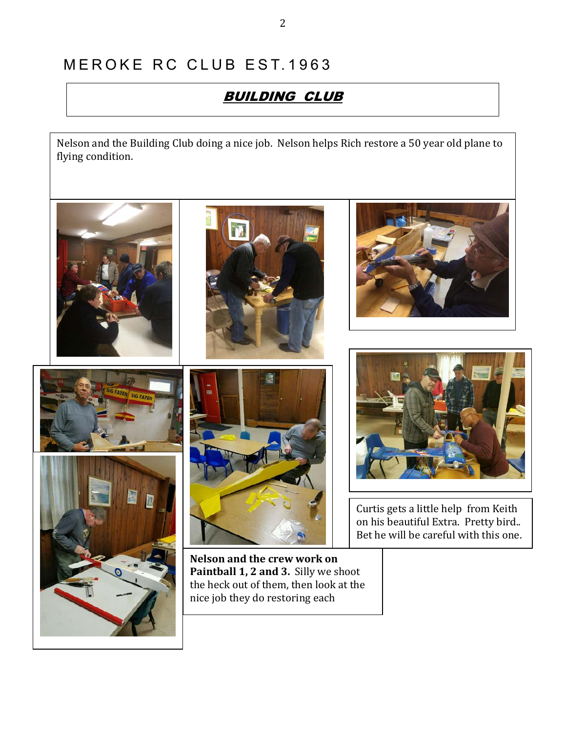## MEROKE RC CLUB EST. 1963

## BUILDING CLUB

Nelson and the Building Club doing a nice job. Nelson helps Rich restore a 50 year old plane to flying condition.

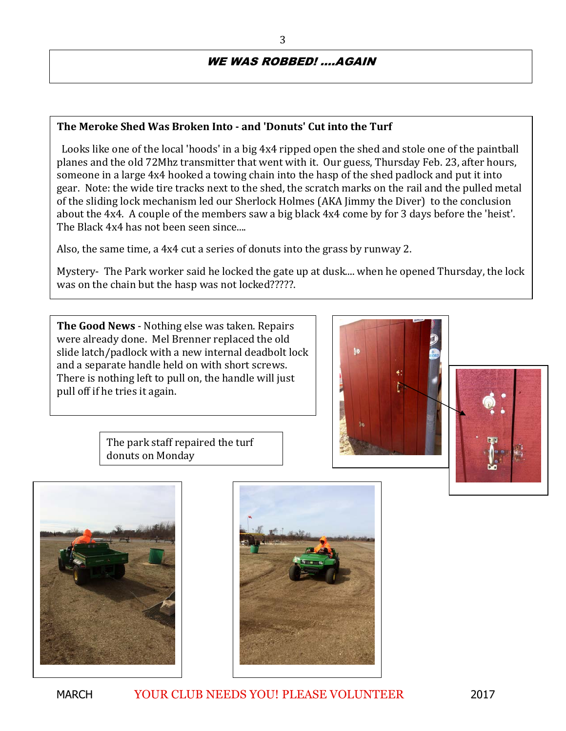#### WE WAS ROBBED! ....AGAIN

#### **The Meroke Shed Was Broken Into - and 'Donuts' Cut into the Turf**

Looks like one of the local 'hoods' in a big 4x4 ripped open the shed and stole one of the paintball planes and the old 72Mhz transmitter that went with it. Our guess, Thursday Feb. 23, after hours, someone in a large 4x4 hooked a towing chain into the hasp of the shed padlock and put it into gear. Note: the wide tire tracks next to the shed, the scratch marks on the rail and the pulled metal of the sliding lock mechanism led our Sherlock Holmes (AKA Jimmy the Diver) to the conclusion about the 4x4. A couple of the members saw a big black 4x4 come by for 3 days before the 'heist'. The Black 4x4 has not been seen since....

Also, the same time, a 4x4 cut a series of donuts into the grass by runway 2.

Mystery- The Park worker said he locked the gate up at dusk.... when he opened Thursday, the lock was on the chain but the hasp was not locked?????.

**The Good News** - Nothing else was taken. Repairs were already done. Mel Brenner replaced the old slide latch/padlock with a new internal deadbolt lock and a separate handle held on with short screws. There is nothing left to pull on, the handle will just pull off if he tries it again.





The park staff repaired the turf donuts on Monday